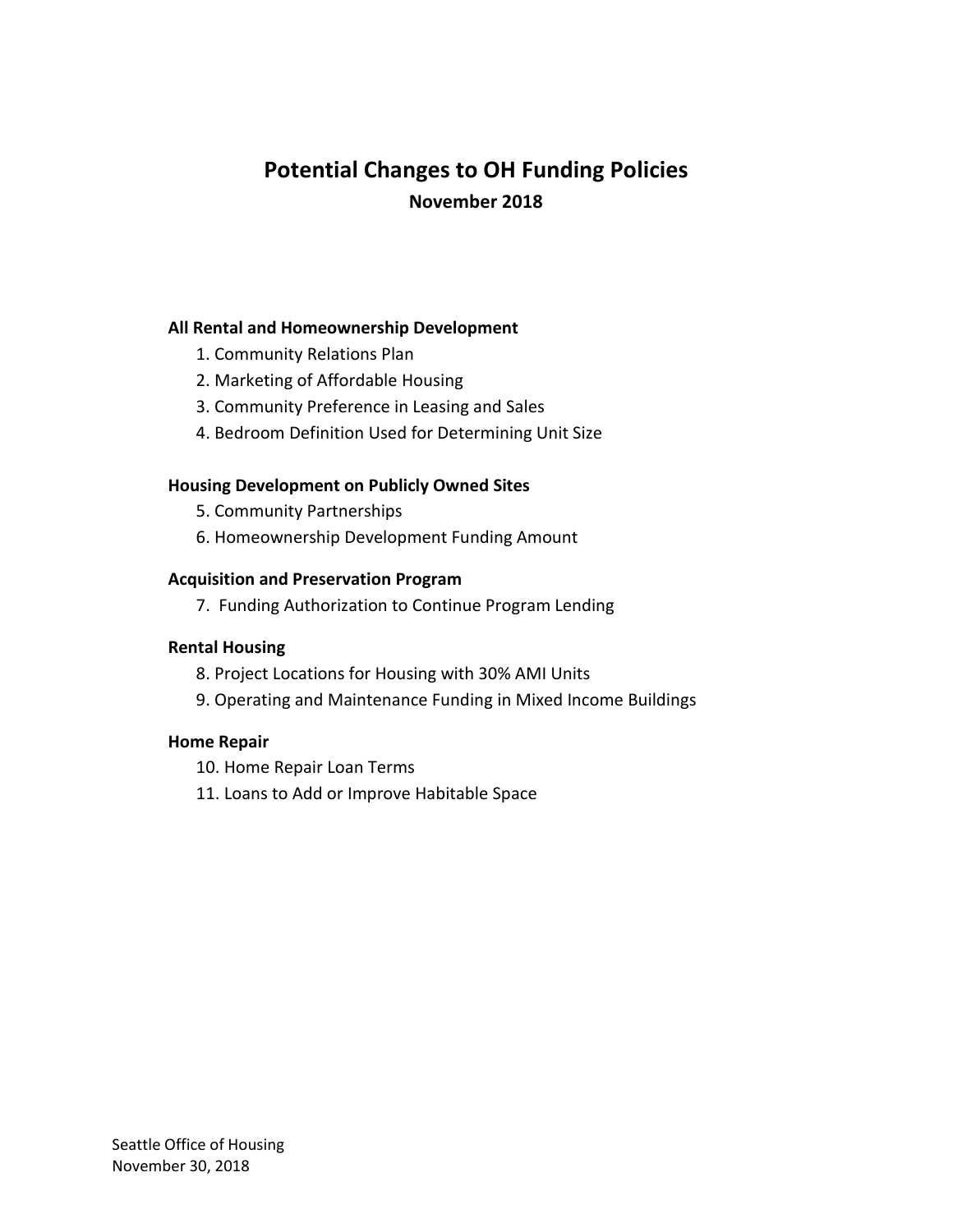# **Potential Changes to OH Funding Policies November 2018**

#### **All Rental and Homeownership Development**

- 1. Community Relations Plan
- 2. Marketing of Affordable Housing
- 3. Community Preference in Leasing and Sales
- 4. Bedroom Definition Used for Determining Unit Size

#### **Housing Development on Publicly Owned Sites**

- 5. Community Partnerships
- 6. Homeownership Development Funding Amount

#### **Acquisition and Preservation Program**

7. Funding Authorization to Continue Program Lending

#### **Rental Housing**

- 8. Project Locations for Housing with 30% AMI Units
- 9. Operating and Maintenance Funding in Mixed Income Buildings

#### **Home Repair**

10. Home Repair Loan Terms

11. Loans to Add or Improve Habitable Space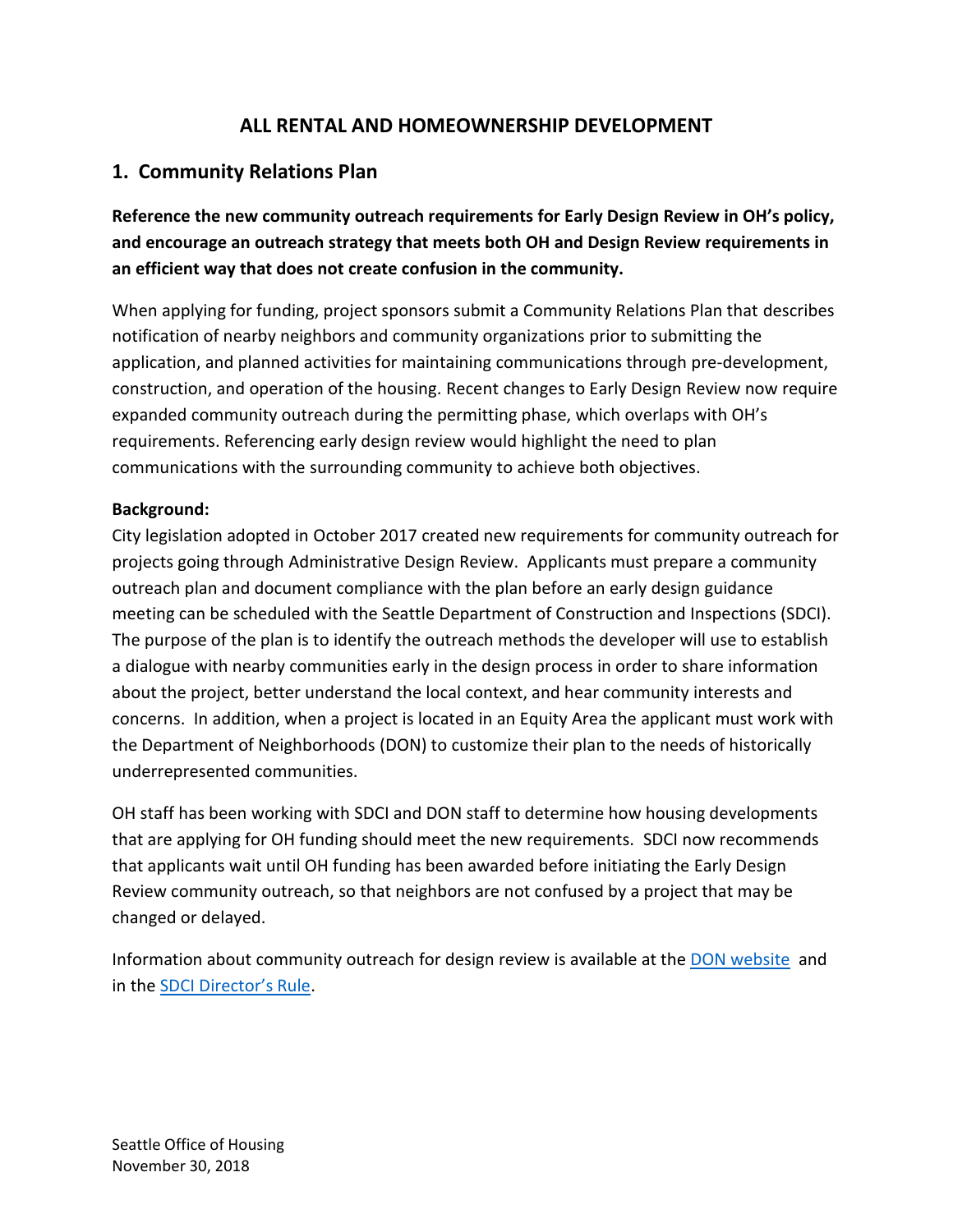### **ALL RENTAL AND HOMEOWNERSHIP DEVELOPMENT**

### **1. Community Relations Plan**

**Reference the new community outreach requirements for Early Design Review in OH's policy, and encourage an outreach strategy that meets both OH and Design Review requirements in an efficient way that does not create confusion in the community.**

When applying for funding, project sponsors submit a Community Relations Plan that describes notification of nearby neighbors and community organizations prior to submitting the application, and planned activities for maintaining communications through pre-development, construction, and operation of the housing. Recent changes to Early Design Review now require expanded community outreach during the permitting phase, which overlaps with OH's requirements. Referencing early design review would highlight the need to plan communications with the surrounding community to achieve both objectives.

#### **Background:**

City legislation adopted in October 2017 created new requirements for community outreach for projects going through Administrative Design Review. Applicants must prepare a community outreach plan and document compliance with the plan before an early design guidance meeting can be scheduled with the Seattle Department of Construction and Inspections (SDCI). The purpose of the plan is to identify the outreach methods the developer will use to establish a dialogue with nearby communities early in the design process in order to share information about the project, better understand the local context, and hear community interests and concerns. In addition, when a project is located in an Equity Area the applicant must work with the Department of Neighborhoods (DON) to customize their plan to the needs of historically underrepresented communities.

OH staff has been working with SDCI and DON staff to determine how housing developments that are applying for OH funding should meet the new requirements. SDCI now recommends that applicants wait until OH funding has been awarded before initiating the Early Design Review community outreach, so that neighbors are not confused by a project that may be changed or delayed.

Information about community outreach for design review is available at the [DON website](https://www.seattle.gov/neighborhoods/outreach-and-engagement/design-review-for-early-outreach) and in the [SDCI Director's Rule](http://www.seattle.gov/dpd/codes/dr/DR2018-4.pdf).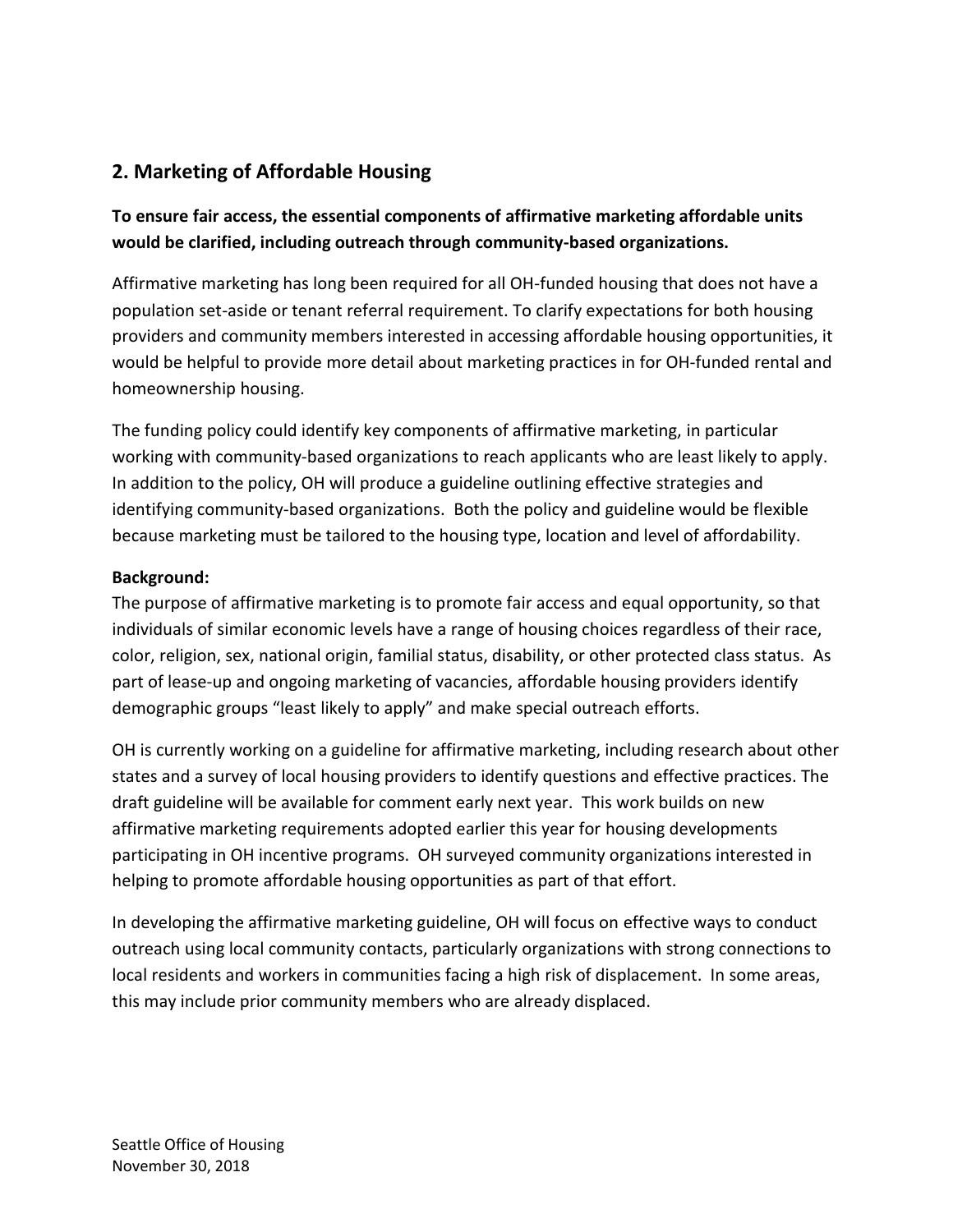# **2. Marketing of Affordable Housing**

### **To ensure fair access, the essential components of affirmative marketing affordable units would be clarified, including outreach through community-based organizations.**

Affirmative marketing has long been required for all OH-funded housing that does not have a population set-aside or tenant referral requirement. To clarify expectations for both housing providers and community members interested in accessing affordable housing opportunities, it would be helpful to provide more detail about marketing practices in for OH-funded rental and homeownership housing.

The funding policy could identify key components of affirmative marketing, in particular working with community-based organizations to reach applicants who are least likely to apply. In addition to the policy, OH will produce a guideline outlining effective strategies and identifying community-based organizations. Both the policy and guideline would be flexible because marketing must be tailored to the housing type, location and level of affordability.

#### **Background:**

The purpose of affirmative marketing is to promote fair access and equal opportunity, so that individuals of similar economic levels have a range of housing choices regardless of their race, color, religion, sex, national origin, familial status, disability, or other protected class status. As part of lease-up and ongoing marketing of vacancies, affordable housing providers identify demographic groups "least likely to apply" and make special outreach efforts.

OH is currently working on a guideline for affirmative marketing, including research about other states and a survey of local housing providers to identify questions and effective practices. The draft guideline will be available for comment early next year. This work builds on new affirmative marketing requirements adopted earlier this year for housing developments participating in OH incentive programs. OH surveyed community organizations interested in helping to promote affordable housing opportunities as part of that effort.

In developing the affirmative marketing guideline, OH will focus on effective ways to conduct outreach using local community contacts, particularly organizations with strong connections to local residents and workers in communities facing a high risk of displacement. In some areas, this may include prior community members who are already displaced.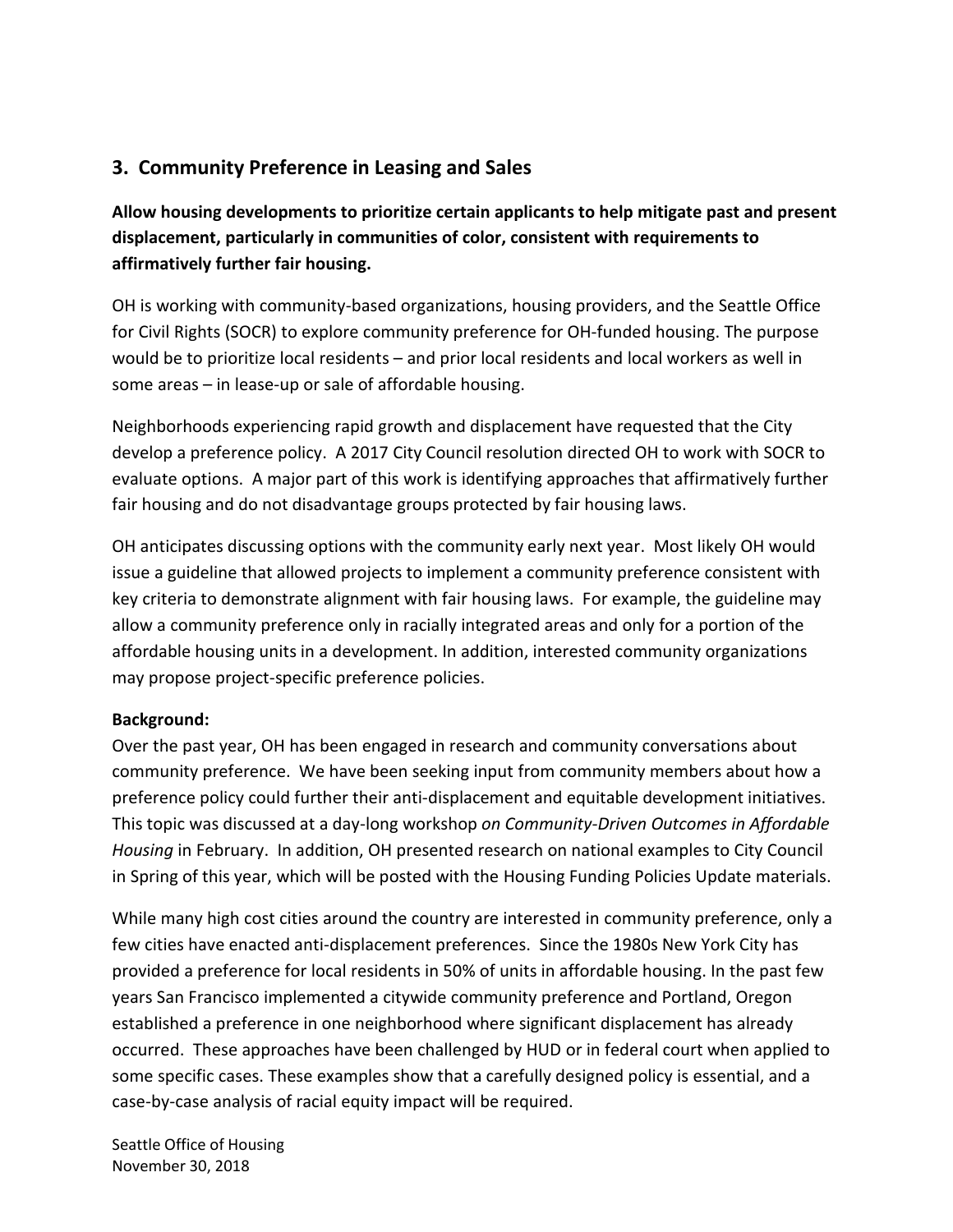# **3. Community Preference in Leasing and Sales**

**Allow housing developments to prioritize certain applicants to help mitigate past and present displacement, particularly in communities of color, consistent with requirements to affirmatively further fair housing.**

OH is working with community-based organizations, housing providers, and the Seattle Office for Civil Rights (SOCR) to explore community preference for OH-funded housing. The purpose would be to prioritize local residents – and prior local residents and local workers as well in some areas – in lease-up or sale of affordable housing.

Neighborhoods experiencing rapid growth and displacement have requested that the City develop a preference policy. A 2017 City Council resolution directed OH to work with SOCR to evaluate options. A major part of this work is identifying approaches that affirmatively further fair housing and do not disadvantage groups protected by fair housing laws.

OH anticipates discussing options with the community early next year. Most likely OH would issue a guideline that allowed projects to implement a community preference consistent with key criteria to demonstrate alignment with fair housing laws. For example, the guideline may allow a community preference only in racially integrated areas and only for a portion of the affordable housing units in a development. In addition, interested community organizations may propose project-specific preference policies.

#### **Background:**

Over the past year, OH has been engaged in research and community conversations about community preference. We have been seeking input from community members about how a preference policy could further their anti-displacement and equitable development initiatives. This topic was discussed at a day-long workshop *on Community-Driven Outcomes in Affordable Housing* in February. In addition, OH presented research on national examples to City Council in Spring of this year, which will be posted with the Housing Funding Policies Update materials.

While many high cost cities around the country are interested in community preference, only a few cities have enacted anti-displacement preferences. Since the 1980s New York City has provided a preference for local residents in 50% of units in affordable housing. In the past few years San Francisco implemented a citywide community preference and Portland, Oregon established a preference in one neighborhood where significant displacement has already occurred. These approaches have been challenged by HUD or in federal court when applied to some specific cases. These examples show that a carefully designed policy is essential, and a case-by-case analysis of racial equity impact will be required.

Seattle Office of Housing November 30, 2018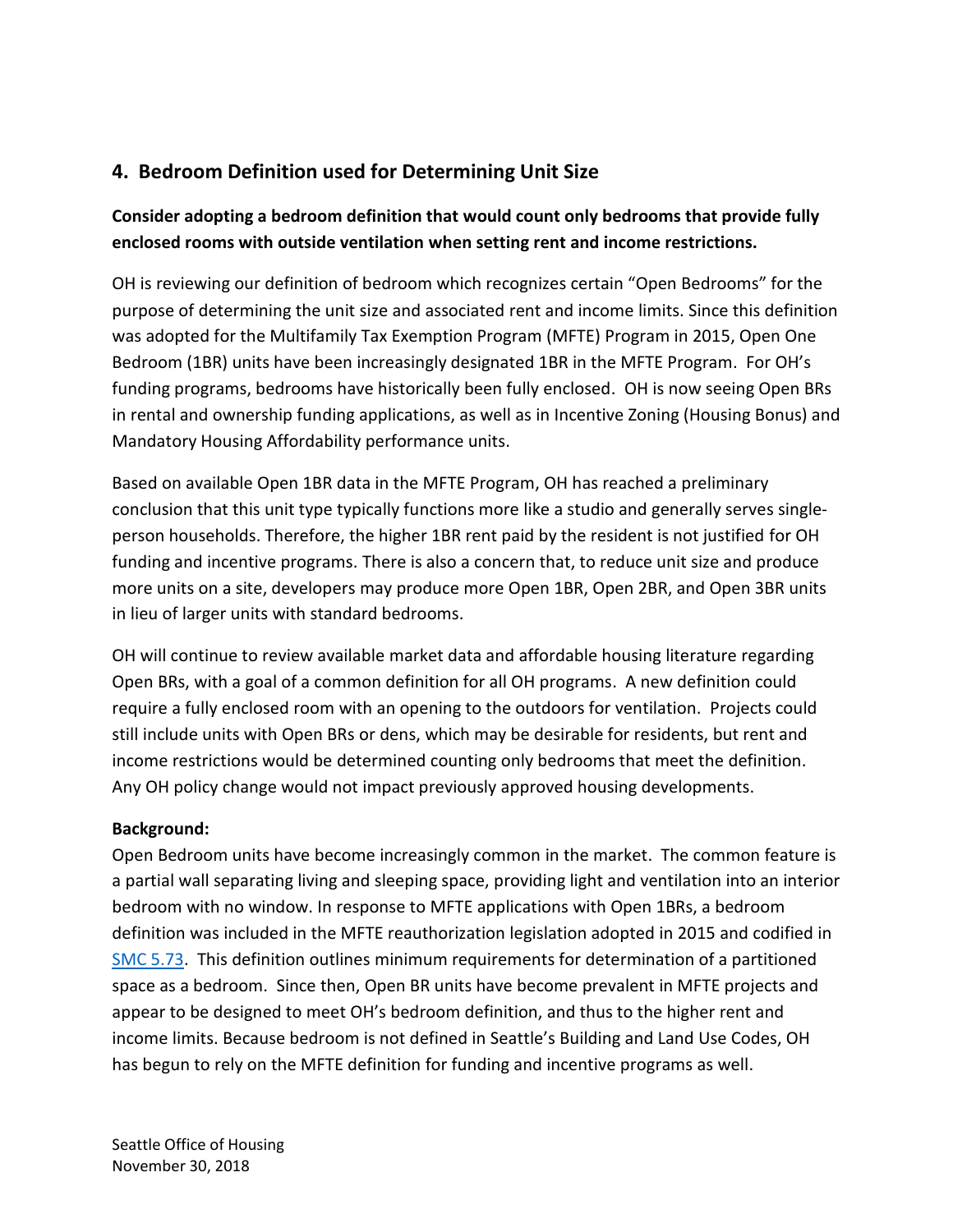# **4. Bedroom Definition used for Determining Unit Size**

### **Consider adopting a bedroom definition that would count only bedrooms that provide fully enclosed rooms with outside ventilation when setting rent and income restrictions.**

OH is reviewing our definition of bedroom which recognizes certain "Open Bedrooms" for the purpose of determining the unit size and associated rent and income limits. Since this definition was adopted for the Multifamily Tax Exemption Program (MFTE) Program in 2015, Open One Bedroom (1BR) units have been increasingly designated 1BR in the MFTE Program. For OH's funding programs, bedrooms have historically been fully enclosed. OH is now seeing Open BRs in rental and ownership funding applications, as well as in Incentive Zoning (Housing Bonus) and Mandatory Housing Affordability performance units.

Based on available Open 1BR data in the MFTE Program, OH has reached a preliminary conclusion that this unit type typically functions more like a studio and generally serves singleperson households. Therefore, the higher 1BR rent paid by the resident is not justified for OH funding and incentive programs. There is also a concern that, to reduce unit size and produce more units on a site, developers may produce more Open 1BR, Open 2BR, and Open 3BR units in lieu of larger units with standard bedrooms.

OH will continue to review available market data and affordable housing literature regarding Open BRs, with a goal of a common definition for all OH programs. A new definition could require a fully enclosed room with an opening to the outdoors for ventilation. Projects could still include units with Open BRs or dens, which may be desirable for residents, but rent and income restrictions would be determined counting only bedrooms that meet the definition. Any OH policy change would not impact previously approved housing developments.

#### **Background:**

Open Bedroom units have become increasingly common in the market. The common feature is a partial wall separating living and sleeping space, providing light and ventilation into an interior bedroom with no window. In response to MFTE applications with Open 1BRs, a bedroom definition was included in the MFTE reauthorization legislation adopted in 2015 and codified in [SMC 5.73.](https://library.municode.com/wa/seattle/codes/municipal_code?nodeId=TIT5REFITA_SUBTITLE_IITA_CH5.732004MUHOPRTAEXPR_5.73.020DE) This definition outlines minimum requirements for determination of a partitioned space as a bedroom. Since then, Open BR units have become prevalent in MFTE projects and appear to be designed to meet OH's bedroom definition, and thus to the higher rent and income limits. Because bedroom is not defined in Seattle's Building and Land Use Codes, OH has begun to rely on the MFTE definition for funding and incentive programs as well.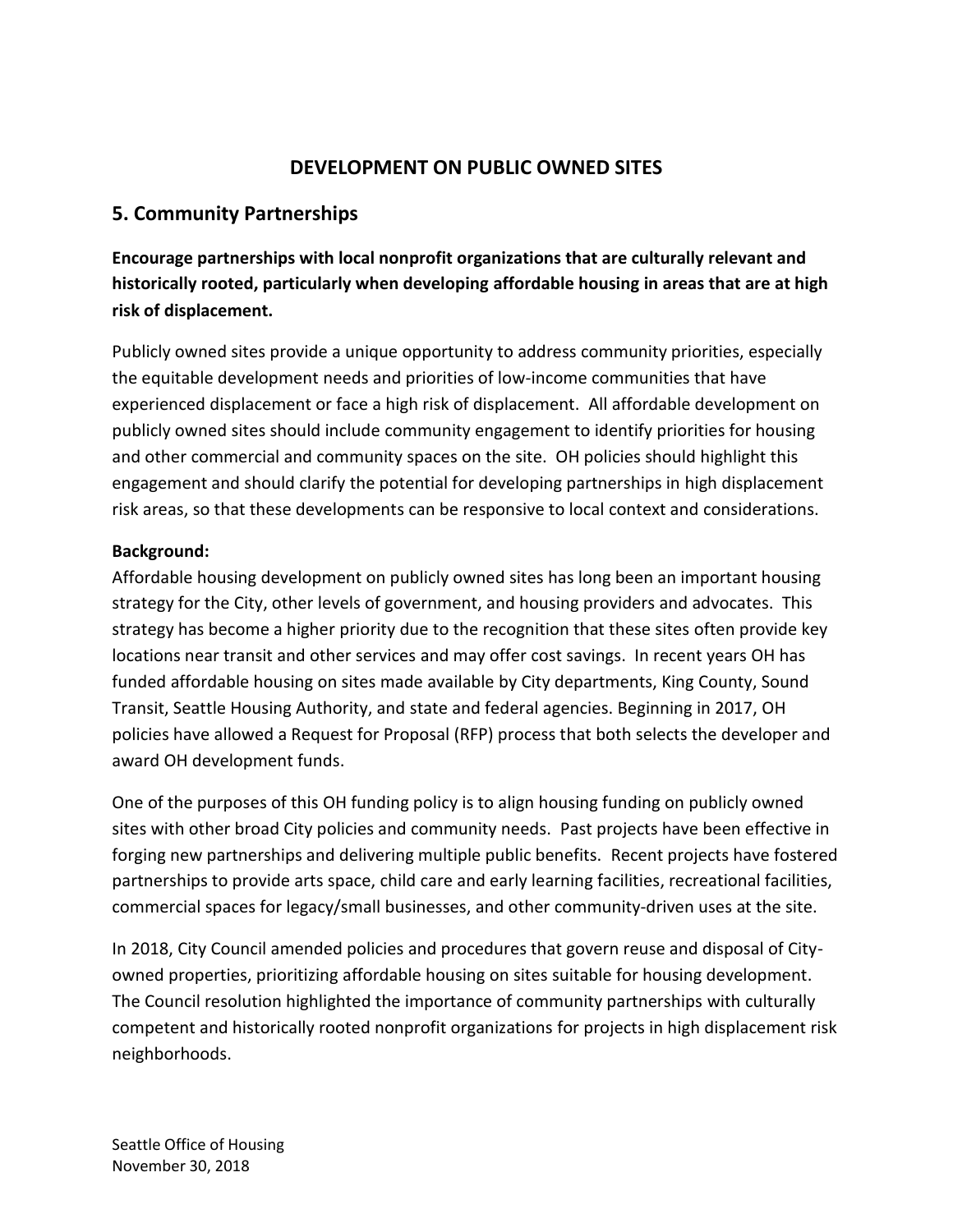### **DEVELOPMENT ON PUBLIC OWNED SITES**

### **5. Community Partnerships**

**Encourage partnerships with local nonprofit organizations that are culturally relevant and historically rooted, particularly when developing affordable housing in areas that are at high risk of displacement.**

Publicly owned sites provide a unique opportunity to address community priorities, especially the equitable development needs and priorities of low-income communities that have experienced displacement or face a high risk of displacement. All affordable development on publicly owned sites should include community engagement to identify priorities for housing and other commercial and community spaces on the site. OH policies should highlight this engagement and should clarify the potential for developing partnerships in high displacement risk areas, so that these developments can be responsive to local context and considerations.

#### **Background:**

Affordable housing development on publicly owned sites has long been an important housing strategy for the City, other levels of government, and housing providers and advocates. This strategy has become a higher priority due to the recognition that these sites often provide key locations near transit and other services and may offer cost savings. In recent years OH has funded affordable housing on sites made available by City departments, King County, Sound Transit, Seattle Housing Authority, and state and federal agencies. Beginning in 2017, OH policies have allowed a Request for Proposal (RFP) process that both selects the developer and award OH development funds.

One of the purposes of this OH funding policy is to align housing funding on publicly owned sites with other broad City policies and community needs. Past projects have been effective in forging new partnerships and delivering multiple public benefits. Recent projects have fostered partnerships to provide arts space, child care and early learning facilities, recreational facilities, commercial spaces for legacy/small businesses, and other community-driven uses at the site.

In 2018, City Council amended policies and procedures that govern reuse and disposal of Cityowned properties, prioritizing affordable housing on sites suitable for housing development. The Council resolution highlighted the importance of community partnerships with culturally competent and historically rooted nonprofit organizations for projects in high displacement risk neighborhoods.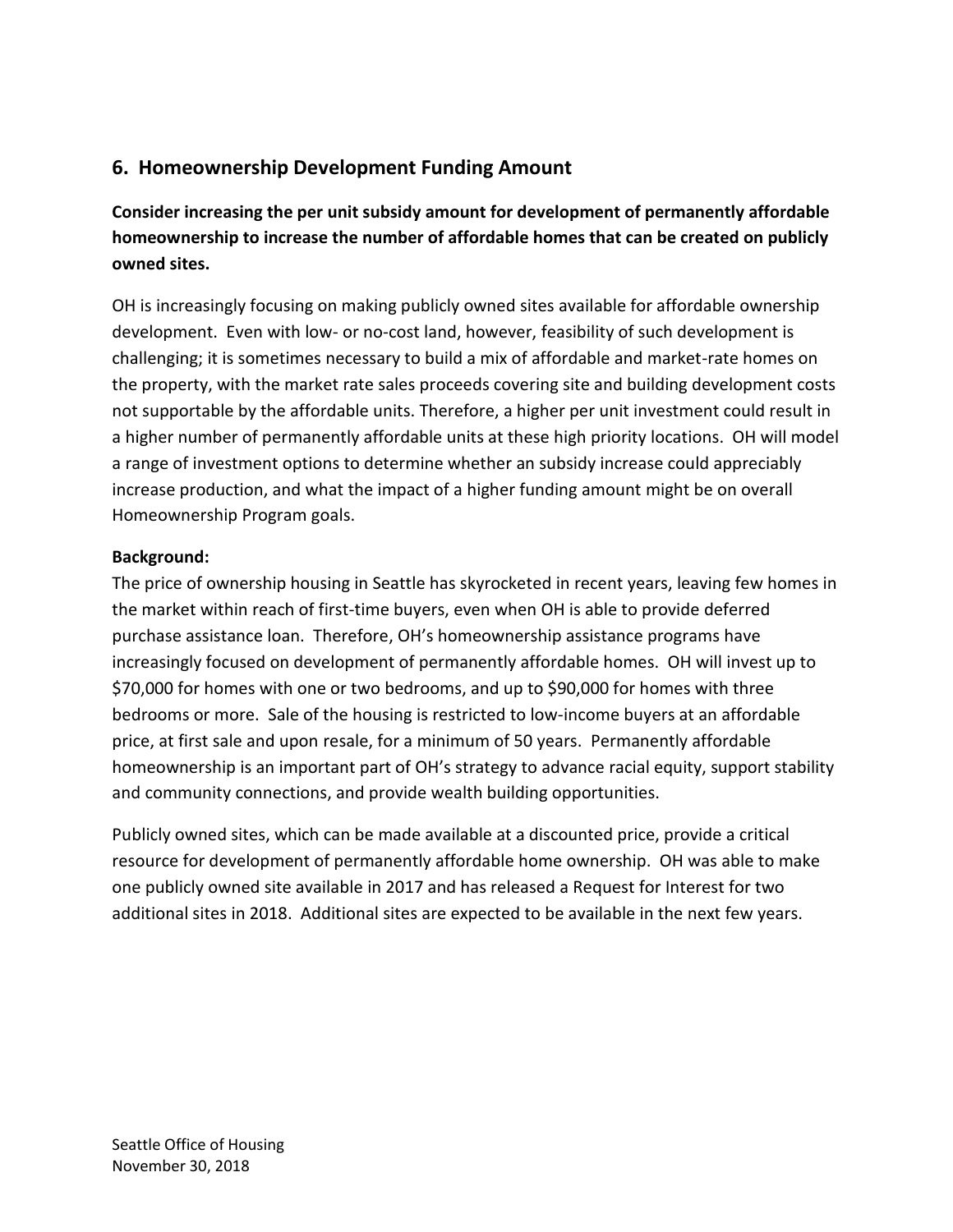### **6. Homeownership Development Funding Amount**

**Consider increasing the per unit subsidy amount for development of permanently affordable homeownership to increase the number of affordable homes that can be created on publicly owned sites.**

OH is increasingly focusing on making publicly owned sites available for affordable ownership development. Even with low- or no-cost land, however, feasibility of such development is challenging; it is sometimes necessary to build a mix of affordable and market-rate homes on the property, with the market rate sales proceeds covering site and building development costs not supportable by the affordable units. Therefore, a higher per unit investment could result in a higher number of permanently affordable units at these high priority locations. OH will model a range of investment options to determine whether an subsidy increase could appreciably increase production, and what the impact of a higher funding amount might be on overall Homeownership Program goals.

#### **Background:**

The price of ownership housing in Seattle has skyrocketed in recent years, leaving few homes in the market within reach of first-time buyers, even when OH is able to provide deferred purchase assistance loan. Therefore, OH's homeownership assistance programs have increasingly focused on development of permanently affordable homes. OH will invest up to \$70,000 for homes with one or two bedrooms, and up to \$90,000 for homes with three bedrooms or more. Sale of the housing is restricted to low-income buyers at an affordable price, at first sale and upon resale, for a minimum of 50 years. Permanently affordable homeownership is an important part of OH's strategy to advance racial equity, support stability and community connections, and provide wealth building opportunities.

Publicly owned sites, which can be made available at a discounted price, provide a critical resource for development of permanently affordable home ownership. OH was able to make one publicly owned site available in 2017 and has released a Request for Interest for two additional sites in 2018. Additional sites are expected to be available in the next few years.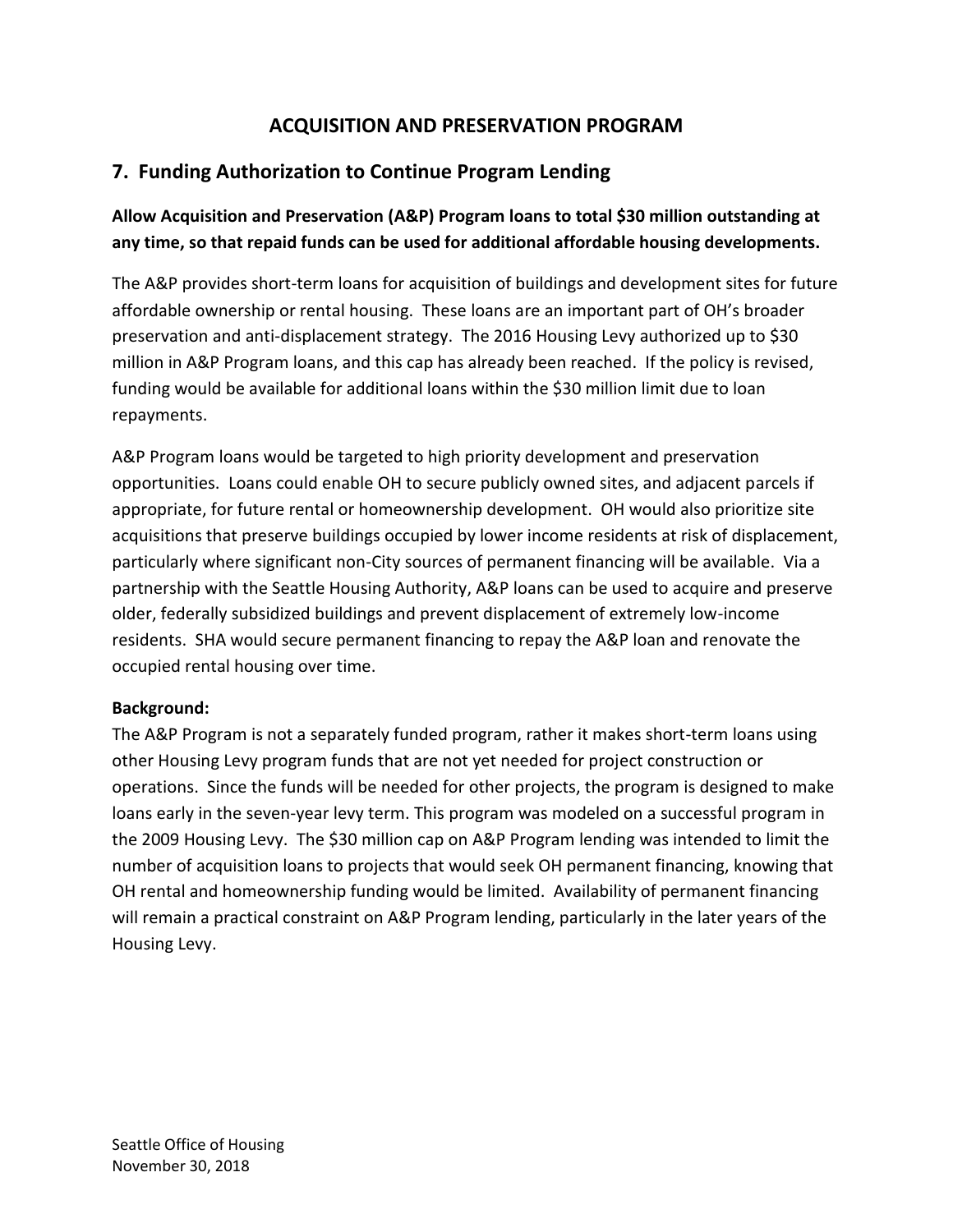# **ACQUISITION AND PRESERVATION PROGRAM**

# **7. Funding Authorization to Continue Program Lending**

### **Allow Acquisition and Preservation (A&P) Program loans to total \$30 million outstanding at any time, so that repaid funds can be used for additional affordable housing developments.**

The A&P provides short-term loans for acquisition of buildings and development sites for future affordable ownership or rental housing. These loans are an important part of OH's broader preservation and anti-displacement strategy. The 2016 Housing Levy authorized up to \$30 million in A&P Program loans, and this cap has already been reached. If the policy is revised, funding would be available for additional loans within the \$30 million limit due to loan repayments.

A&P Program loans would be targeted to high priority development and preservation opportunities. Loans could enable OH to secure publicly owned sites, and adjacent parcels if appropriate, for future rental or homeownership development. OH would also prioritize site acquisitions that preserve buildings occupied by lower income residents at risk of displacement, particularly where significant non-City sources of permanent financing will be available. Via a partnership with the Seattle Housing Authority, A&P loans can be used to acquire and preserve older, federally subsidized buildings and prevent displacement of extremely low-income residents. SHA would secure permanent financing to repay the A&P loan and renovate the occupied rental housing over time.

#### **Background:**

The A&P Program is not a separately funded program, rather it makes short-term loans using other Housing Levy program funds that are not yet needed for project construction or operations. Since the funds will be needed for other projects, the program is designed to make loans early in the seven-year levy term. This program was modeled on a successful program in the 2009 Housing Levy. The \$30 million cap on A&P Program lending was intended to limit the number of acquisition loans to projects that would seek OH permanent financing, knowing that OH rental and homeownership funding would be limited. Availability of permanent financing will remain a practical constraint on A&P Program lending, particularly in the later years of the Housing Levy.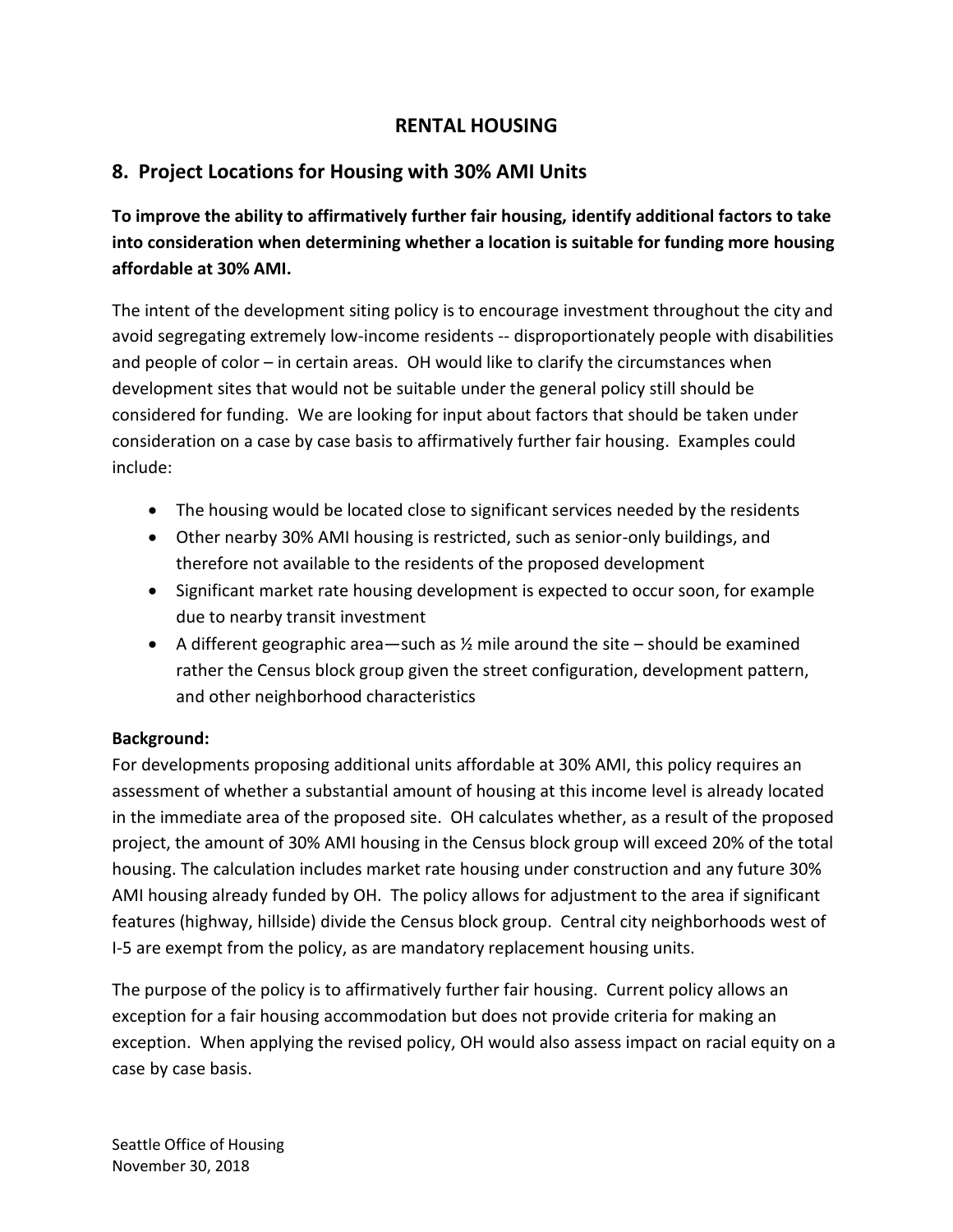### **RENTAL HOUSING**

# **8. Project Locations for Housing with 30% AMI Units**

**To improve the ability to affirmatively further fair housing, identify additional factors to take into consideration when determining whether a location is suitable for funding more housing affordable at 30% AMI.**

The intent of the development siting policy is to encourage investment throughout the city and avoid segregating extremely low-income residents -- disproportionately people with disabilities and people of color – in certain areas. OH would like to clarify the circumstances when development sites that would not be suitable under the general policy still should be considered for funding. We are looking for input about factors that should be taken under consideration on a case by case basis to affirmatively further fair housing. Examples could include:

- The housing would be located close to significant services needed by the residents
- Other nearby 30% AMI housing is restricted, such as senior-only buildings, and therefore not available to the residents of the proposed development
- Significant market rate housing development is expected to occur soon, for example due to nearby transit investment
- A different geographic area—such as  $\frac{1}{2}$  mile around the site should be examined rather the Census block group given the street configuration, development pattern, and other neighborhood characteristics

#### **Background:**

For developments proposing additional units affordable at 30% AMI, this policy requires an assessment of whether a substantial amount of housing at this income level is already located in the immediate area of the proposed site. OH calculates whether, as a result of the proposed project, the amount of 30% AMI housing in the Census block group will exceed 20% of the total housing. The calculation includes market rate housing under construction and any future 30% AMI housing already funded by OH. The policy allows for adjustment to the area if significant features (highway, hillside) divide the Census block group. Central city neighborhoods west of I-5 are exempt from the policy, as are mandatory replacement housing units.

The purpose of the policy is to affirmatively further fair housing. Current policy allows an exception for a fair housing accommodation but does not provide criteria for making an exception. When applying the revised policy, OH would also assess impact on racial equity on a case by case basis.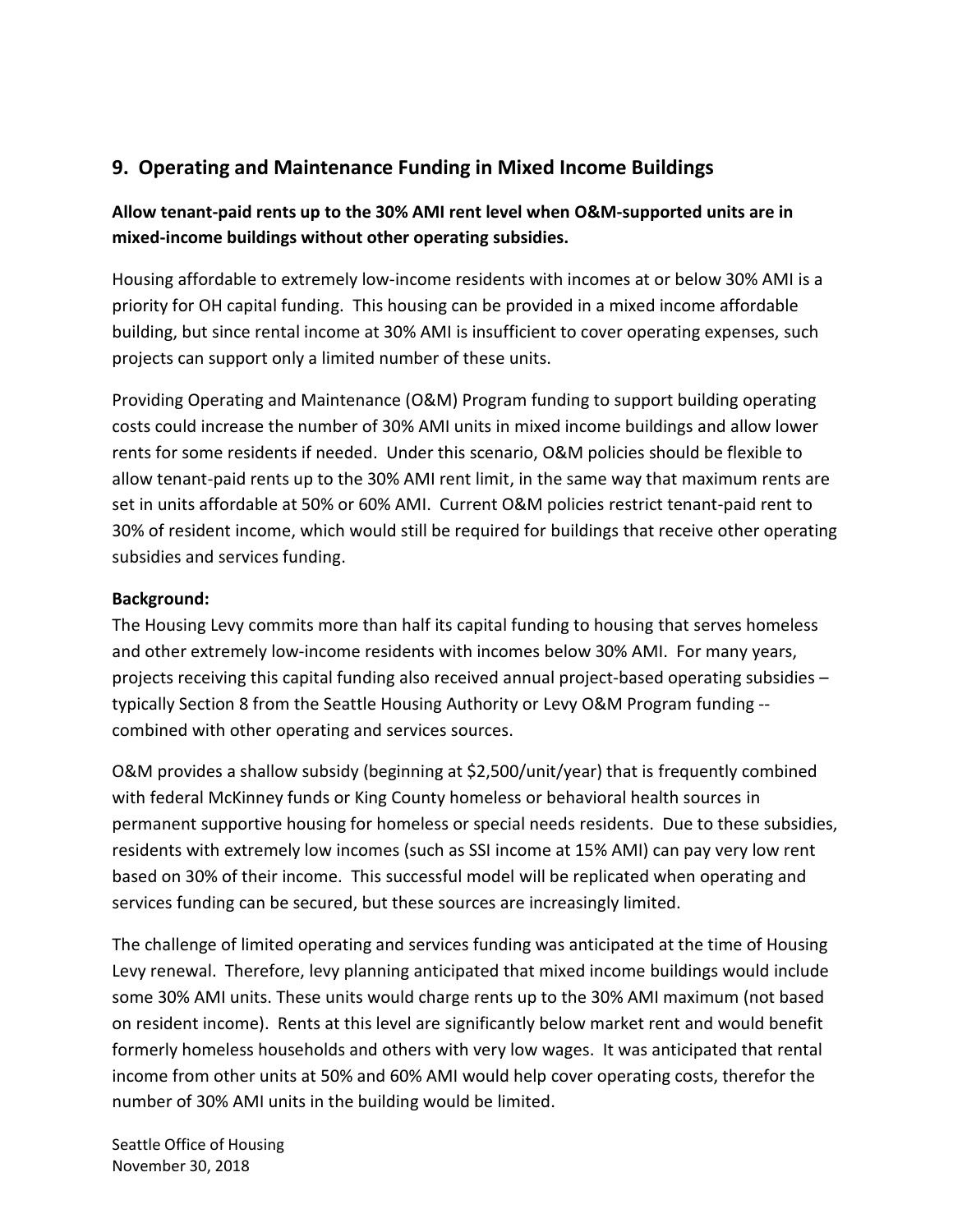### **9. Operating and Maintenance Funding in Mixed Income Buildings**

### **Allow tenant-paid rents up to the 30% AMI rent level when O&M-supported units are in mixed-income buildings without other operating subsidies.**

Housing affordable to extremely low-income residents with incomes at or below 30% AMI is a priority for OH capital funding. This housing can be provided in a mixed income affordable building, but since rental income at 30% AMI is insufficient to cover operating expenses, such projects can support only a limited number of these units.

Providing Operating and Maintenance (O&M) Program funding to support building operating costs could increase the number of 30% AMI units in mixed income buildings and allow lower rents for some residents if needed. Under this scenario, O&M policies should be flexible to allow tenant-paid rents up to the 30% AMI rent limit, in the same way that maximum rents are set in units affordable at 50% or 60% AMI. Current O&M policies restrict tenant-paid rent to 30% of resident income, which would still be required for buildings that receive other operating subsidies and services funding.

#### **Background:**

The Housing Levy commits more than half its capital funding to housing that serves homeless and other extremely low-income residents with incomes below 30% AMI. For many years, projects receiving this capital funding also received annual project-based operating subsidies – typically Section 8 from the Seattle Housing Authority or Levy O&M Program funding - combined with other operating and services sources.

O&M provides a shallow subsidy (beginning at \$2,500/unit/year) that is frequently combined with federal McKinney funds or King County homeless or behavioral health sources in permanent supportive housing for homeless or special needs residents. Due to these subsidies, residents with extremely low incomes (such as SSI income at 15% AMI) can pay very low rent based on 30% of their income. This successful model will be replicated when operating and services funding can be secured, but these sources are increasingly limited.

The challenge of limited operating and services funding was anticipated at the time of Housing Levy renewal. Therefore, levy planning anticipated that mixed income buildings would include some 30% AMI units. These units would charge rents up to the 30% AMI maximum (not based on resident income). Rents at this level are significantly below market rent and would benefit formerly homeless households and others with very low wages. It was anticipated that rental income from other units at 50% and 60% AMI would help cover operating costs, therefor the number of 30% AMI units in the building would be limited.

Seattle Office of Housing November 30, 2018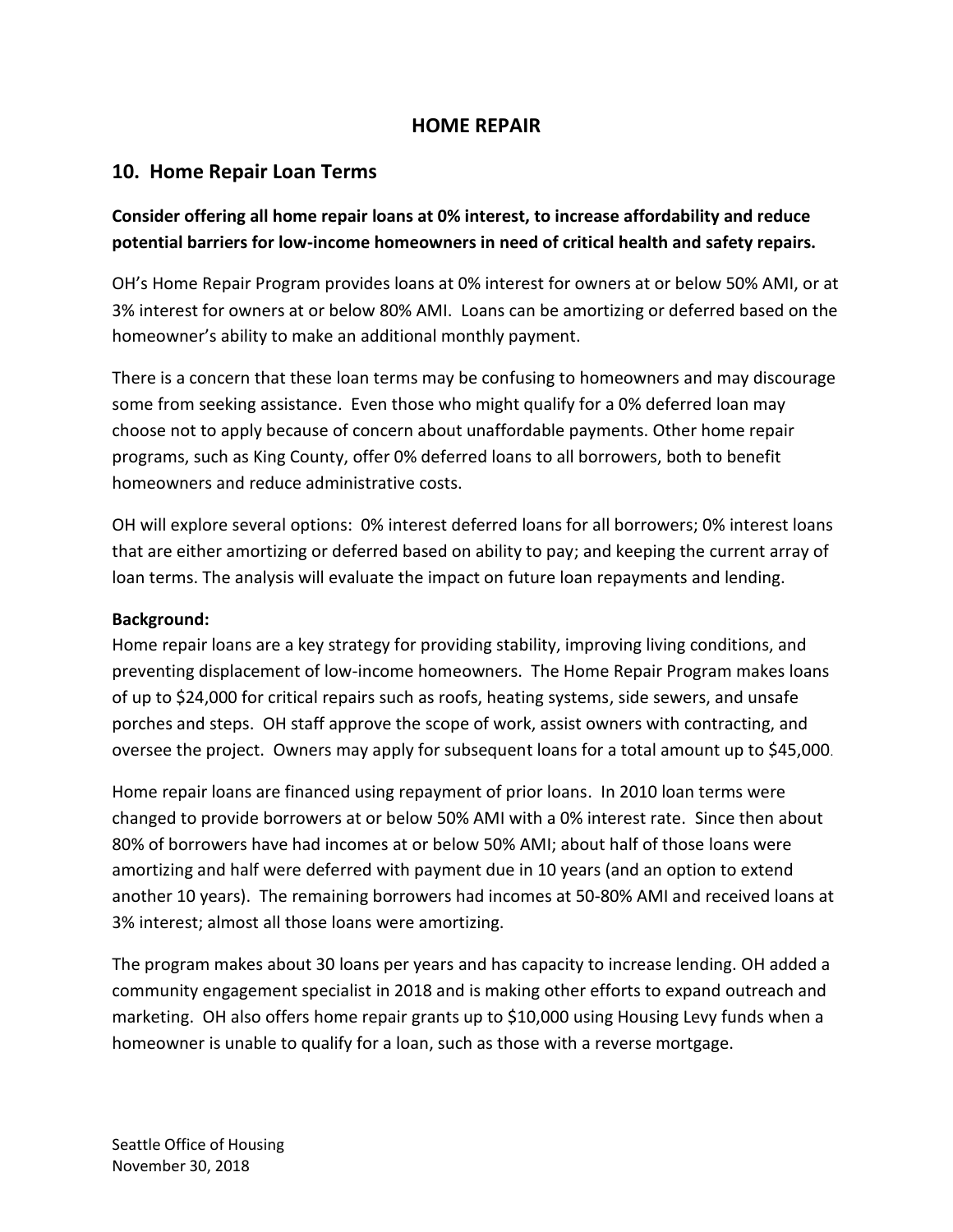### **HOME REPAIR**

### **10. Home Repair Loan Terms**

### **Consider offering all home repair loans at 0% interest, to increase affordability and reduce potential barriers for low-income homeowners in need of critical health and safety repairs.**

OH's Home Repair Program provides loans at 0% interest for owners at or below 50% AMI, or at 3% interest for owners at or below 80% AMI. Loans can be amortizing or deferred based on the homeowner's ability to make an additional monthly payment.

There is a concern that these loan terms may be confusing to homeowners and may discourage some from seeking assistance. Even those who might qualify for a 0% deferred loan may choose not to apply because of concern about unaffordable payments. Other home repair programs, such as King County, offer 0% deferred loans to all borrowers, both to benefit homeowners and reduce administrative costs.

OH will explore several options: 0% interest deferred loans for all borrowers; 0% interest loans that are either amortizing or deferred based on ability to pay; and keeping the current array of loan terms. The analysis will evaluate the impact on future loan repayments and lending.

#### **Background:**

Home repair loans are a key strategy for providing stability, improving living conditions, and preventing displacement of low-income homeowners. The Home Repair Program makes loans of up to \$24,000 for critical repairs such as roofs, heating systems, side sewers, and unsafe porches and steps. OH staff approve the scope of work, assist owners with contracting, and oversee the project. Owners may apply for subsequent loans for a total amount up to \$45,000.

Home repair loans are financed using repayment of prior loans. In 2010 loan terms were changed to provide borrowers at or below 50% AMI with a 0% interest rate. Since then about 80% of borrowers have had incomes at or below 50% AMI; about half of those loans were amortizing and half were deferred with payment due in 10 years (and an option to extend another 10 years). The remaining borrowers had incomes at 50-80% AMI and received loans at 3% interest; almost all those loans were amortizing.

The program makes about 30 loans per years and has capacity to increase lending. OH added a community engagement specialist in 2018 and is making other efforts to expand outreach and marketing. OH also offers home repair grants up to \$10,000 using Housing Levy funds when a homeowner is unable to qualify for a loan, such as those with a reverse mortgage.